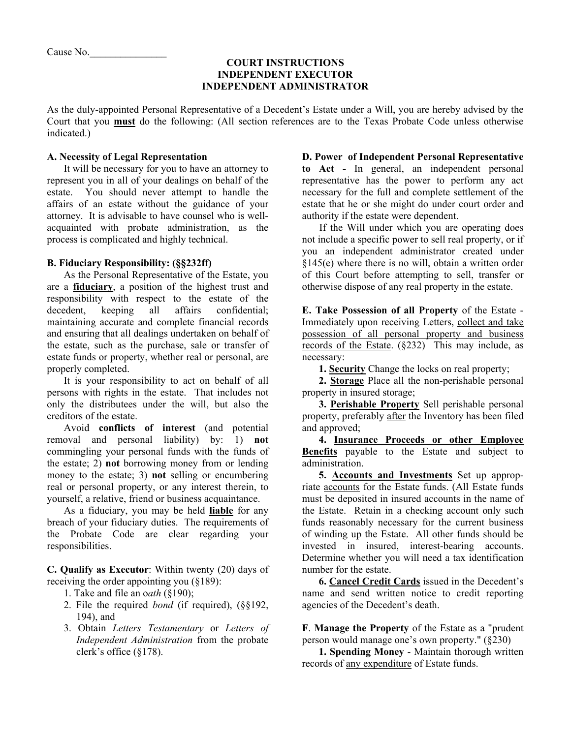### **COURT INSTRUCTIONS INDEPENDENT EXECUTOR INDEPENDENT ADMINISTRATOR**

As the duly-appointed Personal Representative of a Decedent's Estate under a Will, you are hereby advised by the Court that you **must** do the following: (All section references are to the Texas Probate Code unless otherwise indicated.)

## **A. Necessity of Legal Representation**

It will be necessary for you to have an attorney to represent you in all of your dealings on behalf of the estate. You should never attempt to handle the affairs of an estate without the guidance of your attorney. It is advisable to have counsel who is wellacquainted with probate administration, as the process is complicated and highly technical.

# **B. Fiduciary Responsibility: (§§232ff)**

As the Personal Representative of the Estate, you are a **fiduciary**, a position of the highest trust and responsibility with respect to the estate of the decedent, keeping all affairs confidential; maintaining accurate and complete financial records and ensuring that all dealings undertaken on behalf of the estate, such as the purchase, sale or transfer of estate funds or property, whether real or personal, are properly completed.

It is your responsibility to act on behalf of all persons with rights in the estate. That includes not only the distributees under the will, but also the creditors of the estate.

Avoid **conflicts of interest** (and potential removal and personal liability) by: 1) **not** commingling your personal funds with the funds of the estate; 2) **not** borrowing money from or lending money to the estate; 3) **not** selling or encumbering real or personal property, or any interest therein, to yourself, a relative, friend or business acquaintance.

As a fiduciary, you may be held **liable** for any breach of your fiduciary duties. The requirements of the Probate Code are clear regarding your responsibilities.

**C. Qualify as Executor**: Within twenty (20) days of receiving the order appointing you (§189):

- 1. Take and file an o*ath* (§190);
- 2. File the required *bond* (if required), (§§192, 194), and
- 3. Obtain *Letters Testamentary* or *Letters of Independent Administration* from the probate clerk's office (§178).

**D. Power of Independent Personal Representative to Act -** In general, an independent personal representative has the power to perform any act necessary for the full and complete settlement of the estate that he or she might do under court order and authority if the estate were dependent.

 If the Will under which you are operating does not include a specific power to sell real property, or if you an independent administrator created under §145(e) where there is no will, obtain a written order of this Court before attempting to sell, transfer or otherwise dispose of any real property in the estate.

**E. Take Possession of all Property** of the Estate - Immediately upon receiving Letters, collect and take possession of all personal property and business records of the Estate. (§232) This may include, as necessary:

**1. Security** Change the locks on real property;

**2. Storage** Place all the non-perishable personal property in insured storage;

**3. Perishable Property** Sell perishable personal property, preferably after the Inventory has been filed and approved;

**4. Insurance Proceeds or other Employee Benefits** payable to the Estate and subject to administration.

**5. Accounts and Investments** Set up appropriate accounts for the Estate funds. (All Estate funds must be deposited in insured accounts in the name of the Estate. Retain in a checking account only such funds reasonably necessary for the current business of winding up the Estate. All other funds should be invested in insured, interest-bearing accounts. Determine whether you will need a tax identification number for the estate.

**6. Cancel Credit Cards** issued in the Decedent's name and send written notice to credit reporting agencies of the Decedent's death.

**F**. **Manage the Property** of the Estate as a "prudent person would manage one's own property." (§230)

**1. Spending Money** - Maintain thorough written records of any expenditure of Estate funds.